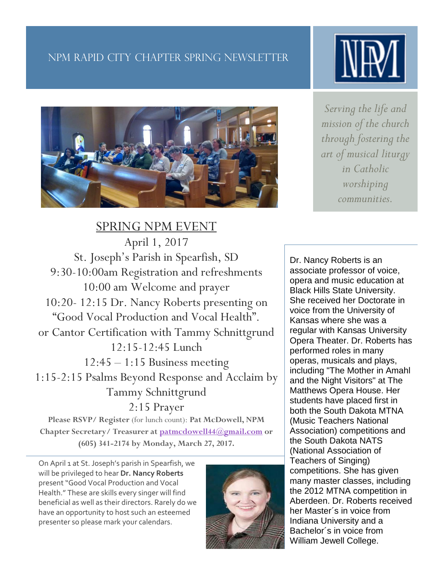# NPM Rapid City CHAPTER spring newsletter

Sprin



SPRING NPM EVENT April 1, 2017 St. Joseph's Parish in Spearfish, SD 9:30-10:00am Registration and refreshments 10:00 am Welcome and prayer 10:20- 12:15 Dr. Nancy Roberts presenting on "Good Vocal Production and Vocal Health". or Cantor Certification with Tammy Schnittgrund 12:15-12:45 Lunch  $12:45 - 1:15$  Business meeting 1:15-2:15 Psalms Beyond Response and Acclaim by Tammy Schnittgrund 2:15 Prayer

**Please RSVP/ Register** (for lunch count): **Pat McDowell, NPM Chapter Secretary/ Treasurer at [patmcdowell44@gmail.com](mailto:patmcdowell44@gmail.com) or (605) 341-2174 by Monday, March 27, 2017.**

On April 1 at St. Joseph's parish in Spearfish, we will be privileged to hear **Dr. Nancy Roberts**  present "Good Vocal Production and Vocal Health." These are skills every singer will find beneficial as well as their directors. Rarely do we have an opportunity to host such an esteemed presenter so please mark your calendars.



*Serving the life and mission of the church through fostering the art of musical liturgy in Catholic worshiping communities.*

Dr. Nancy Roberts is an associate professor of voice, opera and music education at Black Hills State University. She received her Doctorate in voice from the University of Kansas where she was a regular with Kansas University Opera Theater. Dr. Roberts has performed roles in many operas, musicals and plays, including "The Mother in Amahl and the Night Visitors" at The Matthews Opera House. Her students have placed first in both the South Dakota MTNA (Music Teachers National Association) competitions and the South Dakota NATS (National Association of Teachers of Singing) competitions. She has given many master classes, including the 2012 MTNA competition in Aberdeen. Dr. Roberts received her Master´s in voice from Indiana University and a Bachelor´s in voice from William Jewell College.

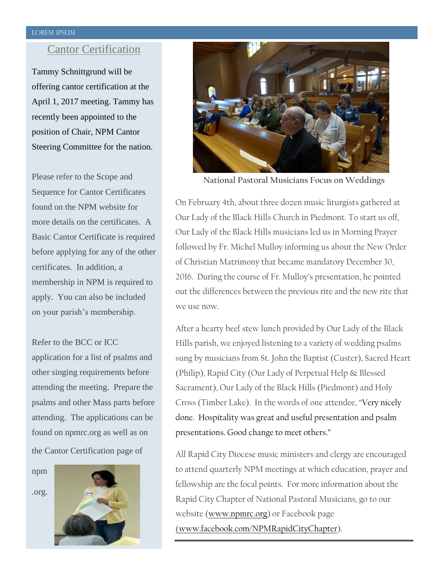#### Lorem Ipsum

## Cantor Certification

Tammy Schnittgrund will be offering cantor certification at the April 1, 2017 meeting. Tammy has recently been appointed to the position of Chair, NPM Cantor Steering Committee for the nation.

Please refer to the Scope and Sequence for Cantor Certificates found on the NPM website for more details on the certificates. A Basic Cantor Certificate is required before applying for any of the other certificates. In addition, a membership in NPM is required to apply. You can also be included on your parish's membership.

Refer to the BCC or ICC application for a list of psalms and other singing requirements before attending the meeting. Prepare the psalms and other Mass parts before attending. The applications can be found on npmrc.org as well as on the Cantor Certification page of

npm





**National Pastoral Musicians Focus on Weddings**

On February 4th, about three dozen music liturgists gathered at Our Lady of the Black Hills Church in Piedmont. To start us off, Our Lady of the Black Hills musicians led us in Morning Prayer followed by Fr. Michel Mulloy informing us about the New Order of Christian Matrimony that became mandatory December 30, 2016. During the course of Fr. Mulloy's presentation, he pointed out the differences between the previous rite and the new rite that we use now.

After a hearty beef stew lunch provided by Our Lady of the Black Hills parish, we enjoyed listening to a variety of wedding psalms sung by musicians from St. John the Baptist (Custer), Sacred Heart (Philip), Rapid City (Our Lady of Perpetual Help & Blessed Sacrament), Our Lady of the Black Hills (Piedmont) and Holy Cross (Timber Lake). In the words of one attendee, "Very nicely done. Hospitality was great and useful presentation and psalm presentations. Good change to meet others."

All Rapid City Diocese music ministers and clergy are encouraged to attend quarterly NPM meetings at which education, prayer and fellowship are the focal points. For more information about the Rapid City Chapter of National Pastoral Musicians, go to our website [\(www.npmrc.org\)](http://www.npmrc.org/) or Facebook page [\(www.facebook.com/NPMRapidCityChapter\)](http://www.facebook.com/NPMRapidCityChapter).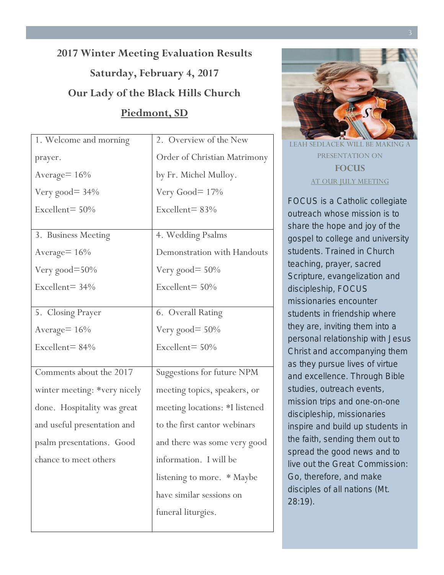# **2017 Winter Meeting Evaluation Results Saturday, February 4, 2017 Our Lady of the Black Hills Church Piedmont, SD**

| 1. Welcome and morning       | 2. Overview of the New            |
|------------------------------|-----------------------------------|
| prayer.                      | Order of Christian Matrimony      |
| Average= 16%                 | by Fr. Michel Mulloy.             |
| Very good $=$ 34%            | Very Good= 17%                    |
| Excellent= $50\%$            | Excellent= $83%$                  |
|                              |                                   |
| 3. Business Meeting          | 4. Wedding Psalms                 |
| Average $= 16\%$             | Demonstration with Handouts       |
| Very good=50%                | Very good $= 50\%$                |
| Excellent= $34\%$            | Excellent= $50%$                  |
|                              |                                   |
| 5. Closing Prayer            | 6. Overall Rating                 |
| Average= 16%                 | Very good $= 50\%$                |
| Excellent= $84%$             | Excellent= 50%                    |
|                              |                                   |
| Comments about the 2017      | <b>Suggestions for future NPM</b> |
| winter meeting: *very nicely | meeting topics, speakers, or      |
| done. Hospitality was great  | meeting locations: *I listened    |
| and useful presentation and  | to the first cantor webinars      |
| psalm presentations. Good    | and there was some very good      |
| chance to meet others        | information. I will be            |
|                              | listening to more. * Maybe        |
|                              | have similar sessions on          |
|                              | funeral liturgies.                |
|                              |                                   |



LEAH SEDLACEK WILL BE MA PRESENTATION ON **FOCUS** AT OUR JULY MEETING

FOCUS is a Catholic collegiate outreach whose mission is to share the hope and joy of the gospel to college and university students. Trained in Church teaching, prayer, sacred Scripture, evangelization and discipleship, FOCUS missionaries encounter students in friendship where they are, inviting them into a personal relationship with Jesus Christ and accompanying them as they pursue lives of virtue and excellence. Through Bible studies, outreach events, mission trips and one-on-one discipleship, missionaries inspire and build up students in the faith, sending them out to spread the good news and to live out the Great Commission: Go, therefore, and make disciples of all nations (Mt. 28:19).